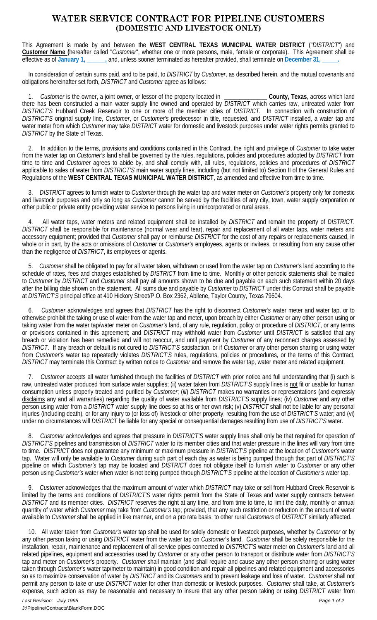## **WATER SERVICE CONTRACT FOR PIPELINE CUSTOMERS (DOMESTIC AND LIVESTOCK ONLY)**

This Agreement is made by and between the **WEST CENTRAL TEXAS MUNICIPAL WATER DISTRICT** ("*DISTRICT*") and **Customer Name (**hereafter called "*Customer*", whether one or more persons, male, female or corporate). This Agreement shall be effective as of **January 1, \_\_\_\_\_\_,** and, unless sooner terminated as hereafter provided, shall terminate on **December 31, \_\_\_\_\_.**

 In consideration of certain sums paid, and to be paid, to *DISTRICT* by *Customer*, as described herein, and the mutual covenants and obligations hereinafter set forth, *DISTRICT* and *Customer* agree as follows:

 1. *Customer* is the owner, a joint owner, or lessor of the property located in **\_\_\_\_\_\_\_\_\_\_\_\_\_\_ County, Texas**, across which land there has been constructed a main water supply line owned and operated by *DISTRICT* which carries raw, untreated water from *DISTRICT'S* Hubbard Creek Reservoir to one or more of the member cities of *DISTRICT*. In connection with construction of *DISTRICT'S* original supply line, *Customer*, or *Customer's* predecessor in title, requested, and *DISTRICT* installed, a water tap and water meter from which *Customer* may take *DISTRICT* water for domestic and livestock purposes under water rights permits granted to *DISTRICT* by the State of Texas.

 2. In addition to the terms, provisions and conditions contained in this Contract, the right and privilege of *Customer* to take water from the water tap on *Customer's* land shall be governed by the rules, regulations, policies and procedures adopted by *DISTRICT* from time to time and *Customer* agrees to abide by, and shall comply with, all rules, regulations, policies and procedures of *DISTRICT* applicable to sales of water from *DISTRICT'S* main water supply lines, including (but not limited to) Section II of the General Rules and Regulations of the **WEST CENTRAL TEXAS MUNICIPAL WATER DISTRICT**, as amended and effective from time to time.

 3. *DISTRICT* agrees to furnish water to *Customer* through the water tap and water meter on *Customer's* property only for domestic and livestock purposes and only so long as *Customer* cannot be served by the facilities of any city, town, water supply corporation or other public or private entity providing water service to persons living in unincorporated or rural areas.

 4. All water taps, water meters and related equipment shall be installed by *DISTRICT* and remain the property of *DISTRICT*. *DISTRICT* shall be responsible for maintenance (normal wear and tear), repair and replacement of all water taps, water meters and accessory equipment; provided that *Customer* shall pay or reimburse *DISTRICT* for the cost of any repairs or replacements caused, in whole or in part, by the acts or omissions of *Customer* or *Customer's* employees, agents or invitees, or resulting from any cause other than the negligence of *DISTRICT*, its employees or agents.

 5. *Customer* shall be obligated to pay for all water taken, withdrawn or used from the water tap on *Customer*'s land according to the schedule of rates, fees and charges established by *DISTRICT* from time to time. Monthly or other periodic statements shall be mailed to *Customer* by *DISTRICT* and *Customer* shall pay all amounts shown to be due and payable on each such statement within 20 days after the billing date shown on the statement. All sums due and payable by *Customer* to *DISTRICT* under this Contract shall be payable at *DISTRICT'S* principal office at 410 Hickory Street/P.O. Box 2362, Abilene, Taylor County, Texas 79604.

 6. *Customer* acknowledges and agrees that *DISTRICT* has the right to disconnect *Customer's* water meter and water tap, or to otherwise prohibit the taking or use of water from the water tap and meter, upon breach by either *Customer* or any other person using or taking water from the water tap/water meter on *Customer's* land, of any rule, regulation, policy or procedure of *DISTRICT*, or any terms or provisions contained in this agreement; and *DISTRICT* may withhold water from *Customer* until *DISTRICT* is satisfied that any breach or violation has been remedied and will not reoccur, and until payment by *Customer* of any reconnect charges assessed by *DISTRICT*. If any breach or default is not cured to *DISTRICT'S* satisfaction, or if *Customer* or any other person sharing or using water from *Customer*'s water tap repeatedly violates *DISTRICT'S* rules, regulations, policies or procedures, or the terms of this Contract, *DISTRICT* may terminate this Contract by written notice to *Customer* and remove the water tap, water meter and related equipment.

 7. *Customer* accepts all water furnished through the facilities of *DISTRICT* with prior notice and full understanding that (i) such is raw, untreated water produced from surface water supplies; (ii) water taken from *DISTRICT'S* supply lines is not fit or usable for human consumption unless properly treated and purified by *Customer*; (*iii*) *DISTRICT* makes no warranties or representations (and expressly disclaims any and all warranties) regarding the quality of water available from *DISTRICT'S* supply lines; (iv) *Customer* and any other person using water from a *DISTRICT* water supply line does so at his or her own risk; (v) *DISTRICT* shall not be liable for any personal injuries (including death), or for any injury to (or loss of) livestock or other property, resulting from the use of *DISTRICT'S* water; and (vi) under no circumstances will *DISTRICT* be liable for any special or consequential damages resulting from use of *DISTRICT'S* water.

 8. *Customer* acknowledges and agrees that pressure in *DISTRICT'S* water supply lines shall only be that required for operation of *DISTRICT'S* pipelines and transmission of *DISTRICT* water to its member cities and that water pressure in the lines will vary from time to time. *DISTRICT* does not guarantee any minimum or maximum pressure in *DISTRICT'S* pipeline at the location of *Customer's* water tap. Water will only be available to *Customer* during such part of each day as water is being pumped through that part of *DISTRICT'S* pipeline on which *Customer's* tap may be located and *DISTRICT* does not obligate itself to furnish water to *Customer* or any other person using *Customer's* water when water is not being pumped through *DISTRICT'S* pipeline at the location of *Customer's* water tap.

 9. *Customer* acknowledges that the maximum amount of water which *DISTRICT* may take or sell from Hubbard Creek Reservoir is limited by the terms and conditions of *DISTRICT'S* water rights permit from the State of Texas and water supply contracts between *DISTRICT* and its member cities. *DISTRICT* reserves the right at any time, and from time to time, to limit the daily, monthly or annual quantity of water which *Customer* may take from *Customer's* tap; provided, that any such restriction or reduction in the amount of water available to *Customer* shall be applied in like manner, and on a pro rata basis, to other rural *Customers* of *DISTRICT* similarly affected.

 10. All water taken from *Customer's* water tap shall be used for solely domestic or livestock purposes, whether by *Customer* or by any other person taking or using *DISTRICT* water from the water tap on *Customer*'s land. *Customer* shall be solely responsible for the installation, repair, maintenance and replacement of all service pipes connected to *DISTRICT'S* water meter on *Customer*'s land and all related pipelines, equipment and accessories used by *Customer* or any other person to transport or distribute water from *DISTRICT'S* tap and meter on *Customer*'s property. *Customer* shall maintain (and shall require and cause any other person sharing or using water taken through *Customer*'s water tap/meter to maintain) in good condition and repair all pipelines and related equipment and accessories so as to maximize conservation of water by *DISTRICT* and its *Customer*s and to prevent leakage and loss of water. *Customer* shall not permit any person to take or use *DISTRICT* water for other than domestic or livestock purposes. *Customer* shall take, at *Customer*'s expense, such action as may be reasonable and necessary to insure that any other person taking or using *DISTRICT* water from